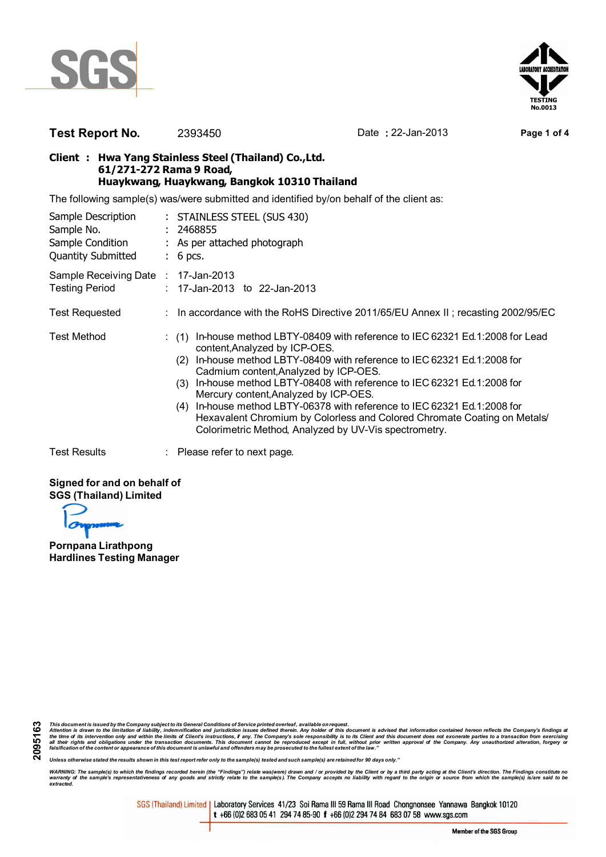



## **Test Report No.** 2393450 Date **:** 22-Jan-2013 **Page 1 of 4**

#### **Client : Hwa Yang Stainless Steel (Thailand) Co.,Ltd. 61/271-272 Rama 9 Road, Huaykwang, Huaykwang, Bangkok 10310 Thailand**

The following sample(s) was/were submitted and identified by/on behalf of the client as:

| Sample Description<br>Sample No.<br>Sample Condition<br><b>Quantity Submitted</b> | : STAINLESS STEEL (SUS 430)<br>: 2468855<br>: As per attached photograph<br>$: 6$ pcs.                                                                                                                                                                                                                                                                                                                                                                                                                                                                                                |  |
|-----------------------------------------------------------------------------------|---------------------------------------------------------------------------------------------------------------------------------------------------------------------------------------------------------------------------------------------------------------------------------------------------------------------------------------------------------------------------------------------------------------------------------------------------------------------------------------------------------------------------------------------------------------------------------------|--|
| Sample Receiving Date : 17-Jan-2013<br><b>Testing Period</b>                      | $: 17$ -Jan-2013 to 22-Jan-2013                                                                                                                                                                                                                                                                                                                                                                                                                                                                                                                                                       |  |
| <b>Test Requested</b>                                                             | : In accordance with the RoHS Directive 2011/65/EU Annex II; recasting 2002/95/EC                                                                                                                                                                                                                                                                                                                                                                                                                                                                                                     |  |
| <b>Test Method</b>                                                                | In-house method LBTY-08409 with reference to IEC 62321 Ed.1:2008 for Lead<br>(1)<br>content, Analyzed by ICP-OES.<br>In-house method LBTY-08409 with reference to IEC 62321 Ed.1:2008 for<br>(2)<br>Cadmium content, Analyzed by ICP-OES.<br>In-house method LBTY-08408 with reference to IEC 62321 Ed.1:2008 for<br>(3)<br>Mercury content, Analyzed by ICP-OES.<br>In-house method LBTY-06378 with reference to IEC 62321 Ed.1:2008 for<br>(4)<br>Hexavalent Chromium by Colorless and Colored Chromate Coating on Metals/<br>Colorimetric Method, Analyzed by UV-Vis spectrometry. |  |
| <b>Test Results</b>                                                               | : Please refer to next page.                                                                                                                                                                                                                                                                                                                                                                                                                                                                                                                                                          |  |

#### **Signed for and on behalf of SGS (Thailand) Limited**

**Pornpana Lirathpong Hardlines Testing Manager**

This document is issued by the Company subject to its General Conditions of Service printed overleaf, available on request.<br>Attention is drawn to the limitation of liability, indemnification and purisdiction issues defined

*Unless otherwise stated the results shown in this test report refer only to the sample(s) tested and such sample(s) are retained for 90 days only."*

WARNING: The sample(s) to which the findings recorded herein (the "Findings") relate was(were) drawn and / or provided by the Client or by a third party acting at the Client's direction. The Findings constitute no<br>warranty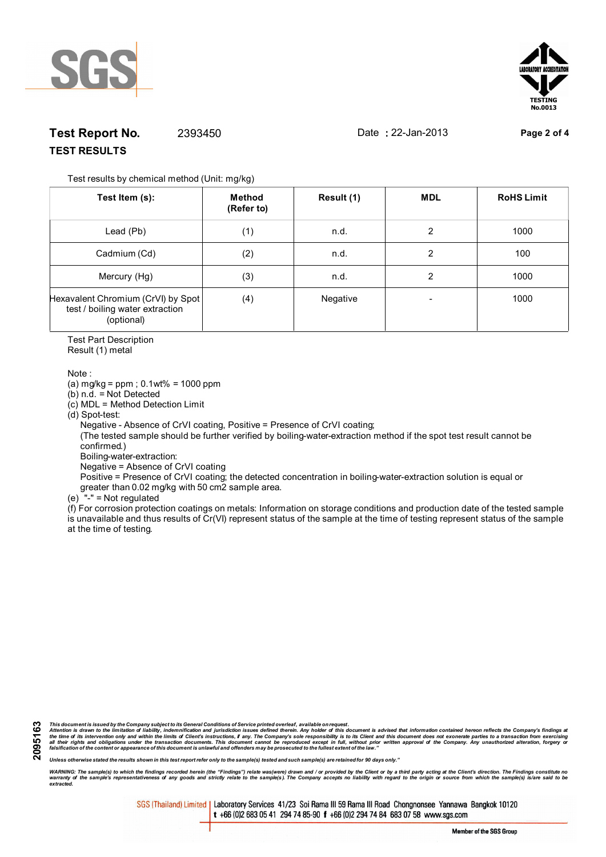



# **Test Report No.** 2393450 Date **:** 22-Jan-2013 **Page 2 of 4 TEST RESULTS**

Test results by chemical method (Unit: mg/kg)

| Test Item (s):                                                                      | Method<br>(Refer to) | Result (1) | <b>MDL</b> | <b>RoHS Limit</b> |
|-------------------------------------------------------------------------------------|----------------------|------------|------------|-------------------|
| Lead (Pb)                                                                           | (1)                  | n.d.       | 2          | 1000              |
| Cadmium (Cd)                                                                        | (2)                  | n.d.       | 2          | 100               |
| Mercury (Hg)                                                                        | (3)                  | n.d.       | 2          | 1000              |
| Hexavalent Chromium (CrVI) by Spot<br>test / boiling water extraction<br>(optional) | (4)                  | Negative   |            | 1000              |

Test Part Description

Result (1) metal

Note :

(a) mg/kg = ppm ; 0.1wt% = 1000 ppm

(b) n.d. = Not Detected

(c) MDL = Method Detection Limit

(d) Spot-test:

Negative - Absence of CrVI coating, Positive = Presence of CrVI coating;

 (The tested sample should be further verified by boiling-water-extraction method if the spot test result cannot be confirmed.)

Boiling-water-extraction:

Negative = Absence of CrVI coating

 Positive = Presence of CrVI coating; the detected concentration in boiling-water-extraction solution is equal or greater than 0.02 mg/kg with 50 cm2 sample area.

(e) "-" = Not regulated

 $\hat{f}$  For corrosion protection coatings on metals: Information on storage conditions and production date of the tested sample is unavailable and thus results of Cr(VI) represent status of the sample at the time of testing represent status of the sample at the time of testing.

**2095163**

This document is issued by the Company subject to its General Conditions of Service printed overleaf, available on request.<br>Attention is drawn to the limitation of liability, indemnification and purisdiction issues defined

*Unless otherwise stated the results shown in this test report refer only to the sample(s) tested and such sample(s) are retained for 90 days only."*

WARNING: The sample(s) to which the findings recorded herein (the "Findings") relate was(were) drawn and / or provided by the Client or by a third party acting at the Client's direction. The Findings constitute no<br>warranty *extracted.*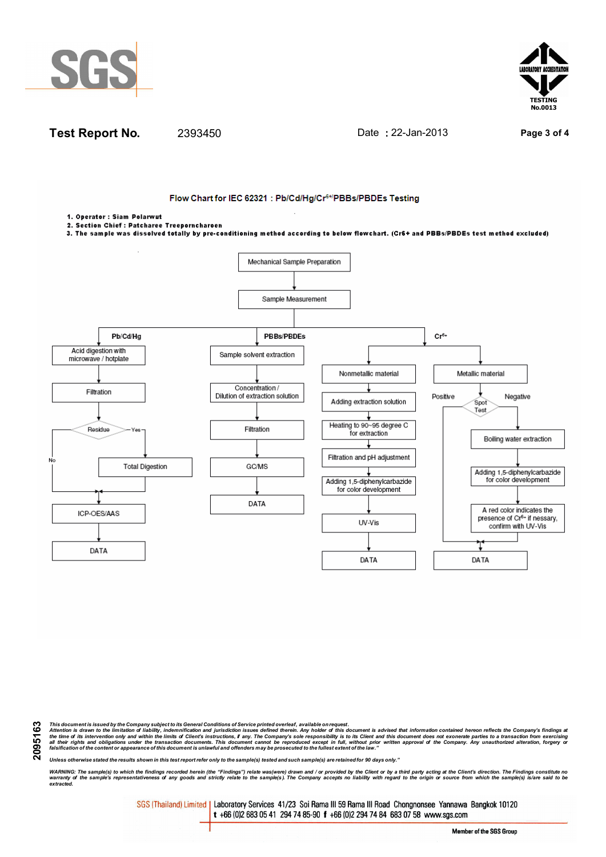





This document is issued by the Company subject to its General Conditions of Service printed overleaf, available on request.<br>Attention is drawn to the limitation of liability, indemnification and purisdiction issues defined

*Unless otherwise stated the results shown in this test report refer only to the sample(s) tested and such sample(s) are retained for 90 days only."*

WARNING: The sample(s) to which the findings recorded herein (the "Findings") relate was(were) drawn and / or provided by the Client or by a third party acting at the Client's direction. The Findings constitute no<br>warranty *extracted.*